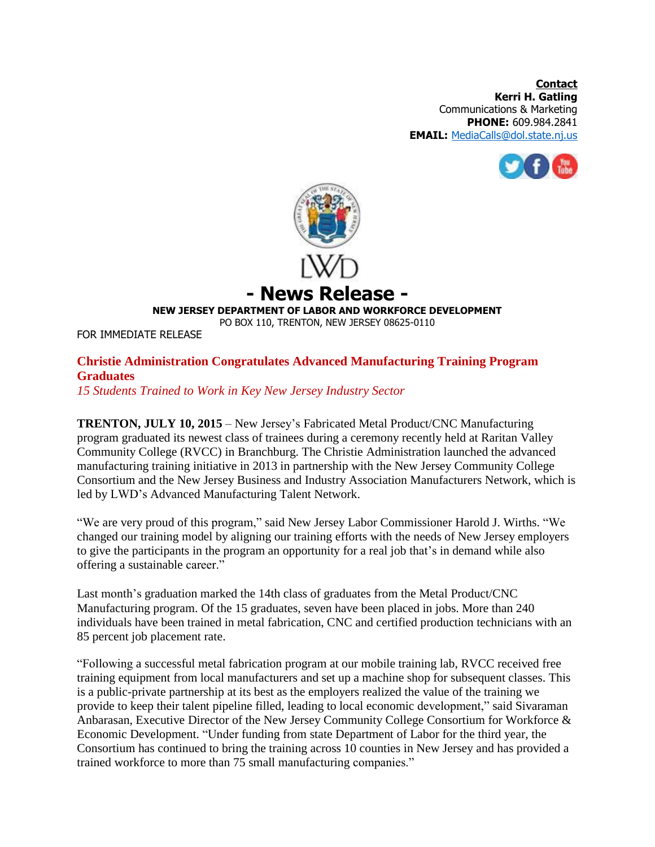**Contact Kerri H. Gatling** Communications & Marketing **PHONE:** 609.984.2841 **EMAIL:** [MediaCalls@dol.state.nj.us](mailto:MediaCalls@dol.state.nj.us)





**- News Release -**

**NEW JERSEY DEPARTMENT OF LABOR AND WORKFORCE DEVELOPMENT**

PO BOX 110, TRENTON, NEW JERSEY 08625-0110

FOR IMMEDIATE RELEASE

## **Christie Administration Congratulates Advanced Manufacturing Training Program Graduates**

*15 Students Trained to Work in Key New Jersey Industry Sector*

**TRENTON, JULY 10, 2015** – New Jersey's Fabricated Metal Product/CNC Manufacturing program graduated its newest class of trainees during a ceremony recently held at Raritan Valley Community College (RVCC) in Branchburg. The Christie Administration launched the advanced manufacturing training initiative in 2013 in partnership with the New Jersey Community College Consortium and the New Jersey Business and Industry Association Manufacturers Network, which is led by LWD's Advanced Manufacturing Talent Network.

"We are very proud of this program," said New Jersey Labor Commissioner Harold J. Wirths. "We changed our training model by aligning our training efforts with the needs of New Jersey employers to give the participants in the program an opportunity for a real job that's in demand while also offering a sustainable career."

Last month's graduation marked the 14th class of graduates from the Metal Product/CNC Manufacturing program. Of the 15 graduates, seven have been placed in jobs. More than 240 individuals have been trained in metal fabrication, CNC and certified production technicians with an 85 percent job placement rate.

"Following a successful metal fabrication program at our mobile training lab, RVCC received free training equipment from local manufacturers and set up a machine shop for subsequent classes. This is a public-private partnership at its best as the employers realized the value of the training we provide to keep their talent pipeline filled, leading to local economic development," said Sivaraman Anbarasan, Executive Director of the New Jersey Community College Consortium for Workforce & Economic Development. "Under funding from state Department of Labor for the third year, the Consortium has continued to bring the training across 10 counties in New Jersey and has provided a trained workforce to more than 75 small manufacturing companies."